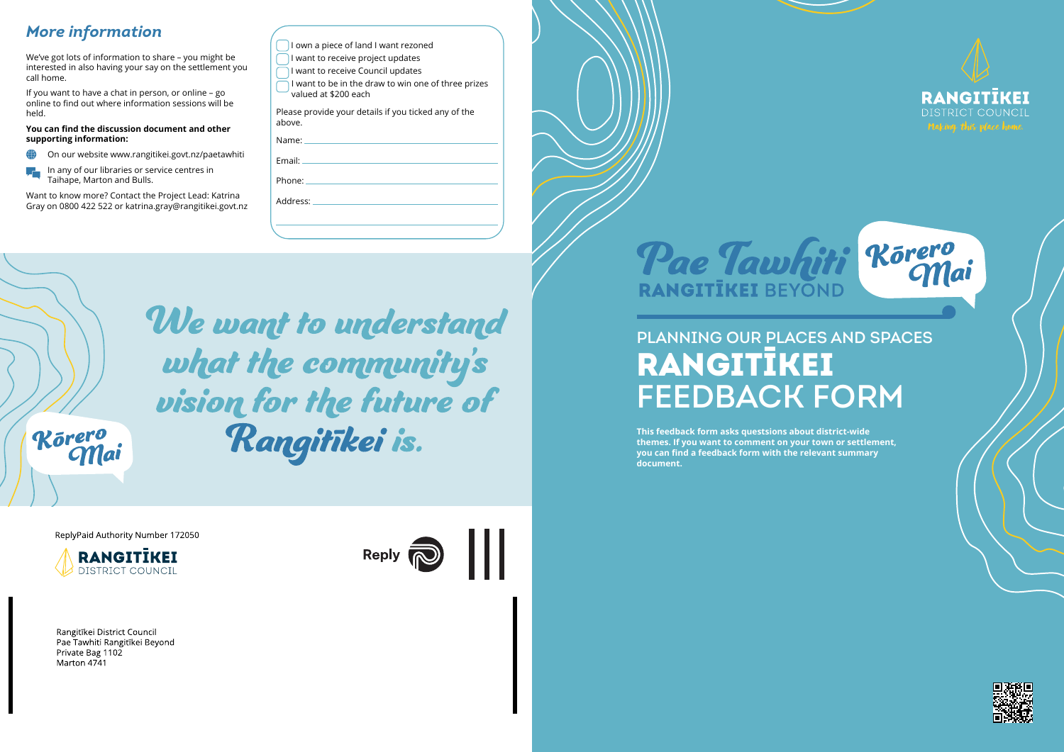# Planning our places and spaces RANGITĪKEI FEEDBACK FORM

## *More information*

We've got lots of information to share – you might be interested in also having your say on the settlement you call home.

On our website www.rangitikei.govt.nz/paetawhiti  $\bigoplus$ 

If you want to have a chat in person, or online – go online to find out where information sessions will be held.

#### **You can find the discussion document and other supporting information:**

In any of our libraries or service centres in Taihape, Marton and Bulls.

Want to know more? Contact the Project Lead: Katrina Gray on 0800 422 522 or katrina.gray@rangitikei.govt.nz

| I own a piece of land I want rezoned                                                                                                                                                                                           |
|--------------------------------------------------------------------------------------------------------------------------------------------------------------------------------------------------------------------------------|
| I want to receive project updates                                                                                                                                                                                              |
| I want to receive Council updates                                                                                                                                                                                              |
| I want to be in the draw to win one of three prizes<br>valued at \$200 each                                                                                                                                                    |
| Please provide your details if you ticked any of the<br>above.                                                                                                                                                                 |
| Name: will be a series of the contract of the contract of the contract of the contract of the contract of the contract of the contract of the contract of the contract of the contract of the contract of the contract of the  |
| Fmail: <b>Example</b>                                                                                                                                                                                                          |
| Phone: the contract of the contract of the contract of the contract of the contract of the contract of the contract of the contract of the contract of the contract of the contract of the contract of the contract of the con |
| Address: Address:                                                                                                                                                                                                              |
|                                                                                                                                                                                                                                |
|                                                                                                                                                                                                                                |
|                                                                                                                                                                                                                                |

We want to understand what the community's vision for the future of Rangitikei is.

Körero<br>Mai

ReplyPaid Authority Number 172050



Rangitīkei District Council Pae Tawhiti Rangitīkei Beyond Private Bag 1102 Marton 4741





**This feedback form asks questsions about district-wide themes. If you want to comment on your town or settlement, you can find a feedback form with the relevant summary document.**